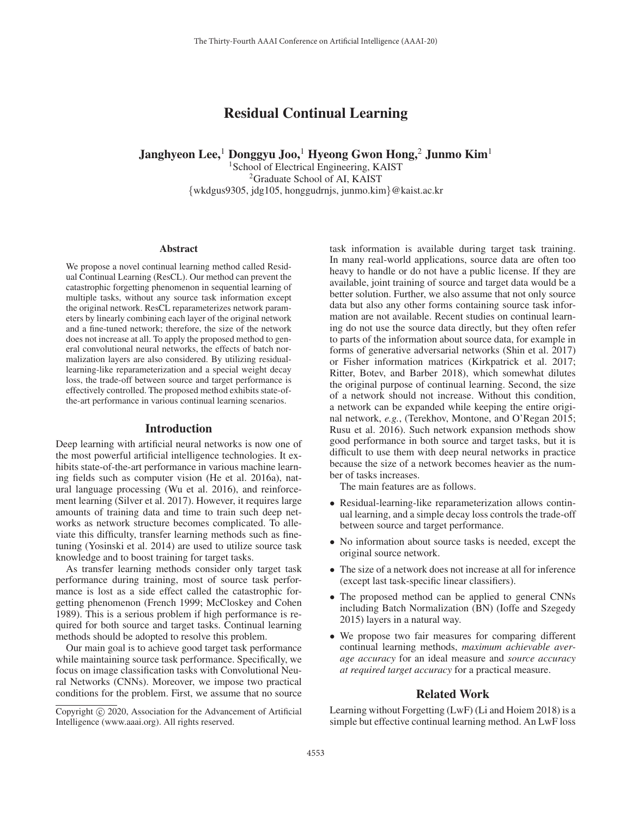# Residual Continual Learning

## Janghyeon Lee,<sup>1</sup> Donggyu Joo,<sup>1</sup> Hyeong Gwon Hong,<sup>2</sup> Junmo Kim<sup>1</sup>

<sup>1</sup>School of Electrical Engineering, KAIST 2Graduate School of AI, KAIST {wkdgus9305, jdg105, honggudrnjs, junmo.kim}@kaist.ac.kr

#### Abstract

We propose a novel continual learning method called Residual Continual Learning (ResCL). Our method can prevent the catastrophic forgetting phenomenon in sequential learning of multiple tasks, without any source task information except the original network. ResCL reparameterizes network parameters by linearly combining each layer of the original network and a fine-tuned network; therefore, the size of the network does not increase at all. To apply the proposed method to general convolutional neural networks, the effects of batch normalization layers are also considered. By utilizing residuallearning-like reparameterization and a special weight decay loss, the trade-off between source and target performance is effectively controlled. The proposed method exhibits state-ofthe-art performance in various continual learning scenarios.

#### Introduction

Deep learning with artificial neural networks is now one of the most powerful artificial intelligence technologies. It exhibits state-of-the-art performance in various machine learning fields such as computer vision (He et al. 2016a), natural language processing (Wu et al. 2016), and reinforcement learning (Silver et al. 2017). However, it requires large amounts of training data and time to train such deep networks as network structure becomes complicated. To alleviate this difficulty, transfer learning methods such as finetuning (Yosinski et al. 2014) are used to utilize source task knowledge and to boost training for target tasks.

As transfer learning methods consider only target task performance during training, most of source task performance is lost as a side effect called the catastrophic forgetting phenomenon (French 1999; McCloskey and Cohen 1989). This is a serious problem if high performance is required for both source and target tasks. Continual learning methods should be adopted to resolve this problem.

Our main goal is to achieve good target task performance while maintaining source task performance. Specifically, we focus on image classification tasks with Convolutional Neural Networks (CNNs). Moreover, we impose two practical conditions for the problem. First, we assume that no source

task information is available during target task training. In many real-world applications, source data are often too heavy to handle or do not have a public license. If they are available, joint training of source and target data would be a better solution. Further, we also assume that not only source data but also any other forms containing source task information are not available. Recent studies on continual learning do not use the source data directly, but they often refer to parts of the information about source data, for example in forms of generative adversarial networks (Shin et al. 2017) or Fisher information matrices (Kirkpatrick et al. 2017; Ritter, Botev, and Barber 2018), which somewhat dilutes the original purpose of continual learning. Second, the size of a network should not increase. Without this condition, a network can be expanded while keeping the entire original network, *e.g.*, (Terekhov, Montone, and O'Regan 2015; Rusu et al. 2016). Such network expansion methods show good performance in both source and target tasks, but it is difficult to use them with deep neural networks in practice because the size of a network becomes heavier as the number of tasks increases.

The main features are as follows.

- Residual-learning-like reparameterization allows continual learning, and a simple decay loss controls the trade-off between source and target performance.
- No information about source tasks is needed, except the original source network.
- The size of a network does not increase at all for inference (except last task-specific linear classifiers).
- The proposed method can be applied to general CNNs including Batch Normalization (BN) (Ioffe and Szegedy 2015) layers in a natural way.
- We propose two fair measures for comparing different continual learning methods, *maximum achievable average accuracy* for an ideal measure and *source accuracy at required target accuracy* for a practical measure.

## Related Work

Learning without Forgetting (LwF) (Li and Hoiem 2018) is a simple but effective continual learning method. An LwF loss

Copyright  $\odot$  2020, Association for the Advancement of Artificial Intelligence (www.aaai.org). All rights reserved.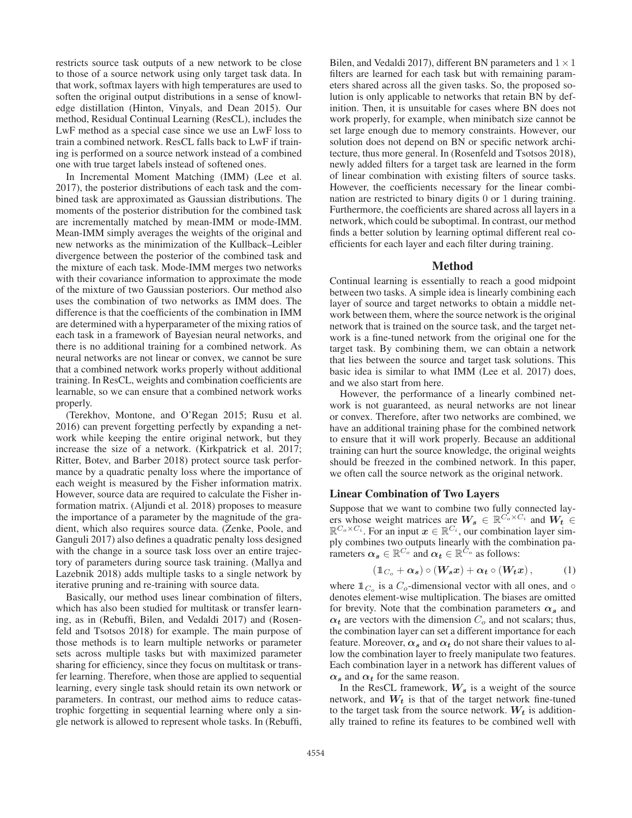restricts source task outputs of a new network to be close to those of a source network using only target task data. In that work, softmax layers with high temperatures are used to soften the original output distributions in a sense of knowledge distillation (Hinton, Vinyals, and Dean 2015). Our method, Residual Continual Learning (ResCL), includes the LwF method as a special case since we use an LwF loss to train a combined network. ResCL falls back to LwF if training is performed on a source network instead of a combined one with true target labels instead of softened ones.

In Incremental Moment Matching (IMM) (Lee et al. 2017), the posterior distributions of each task and the combined task are approximated as Gaussian distributions. The moments of the posterior distribution for the combined task are incrementally matched by mean-IMM or mode-IMM. Mean-IMM simply averages the weights of the original and new networks as the minimization of the Kullback–Leibler divergence between the posterior of the combined task and the mixture of each task. Mode-IMM merges two networks with their covariance information to approximate the mode of the mixture of two Gaussian posteriors. Our method also uses the combination of two networks as IMM does. The difference is that the coefficients of the combination in IMM are determined with a hyperparameter of the mixing ratios of each task in a framework of Bayesian neural networks, and there is no additional training for a combined network. As neural networks are not linear or convex, we cannot be sure that a combined network works properly without additional training. In ResCL, weights and combination coefficients are learnable, so we can ensure that a combined network works properly.

(Terekhov, Montone, and O'Regan 2015; Rusu et al. 2016) can prevent forgetting perfectly by expanding a network while keeping the entire original network, but they increase the size of a network. (Kirkpatrick et al. 2017; Ritter, Botev, and Barber 2018) protect source task performance by a quadratic penalty loss where the importance of each weight is measured by the Fisher information matrix. However, source data are required to calculate the Fisher information matrix. (Aljundi et al. 2018) proposes to measure the importance of a parameter by the magnitude of the gradient, which also requires source data. (Zenke, Poole, and Ganguli 2017) also defines a quadratic penalty loss designed with the change in a source task loss over an entire trajectory of parameters during source task training. (Mallya and Lazebnik 2018) adds multiple tasks to a single network by iterative pruning and re-training with source data.

Basically, our method uses linear combination of filters, which has also been studied for multitask or transfer learning, as in (Rebuffi, Bilen, and Vedaldi 2017) and (Rosenfeld and Tsotsos 2018) for example. The main purpose of those methods is to learn multiple networks or parameter sets across multiple tasks but with maximized parameter sharing for efficiency, since they focus on multitask or transfer learning. Therefore, when those are applied to sequential learning, every single task should retain its own network or parameters. In contrast, our method aims to reduce catastrophic forgetting in sequential learning where only a single network is allowed to represent whole tasks. In (Rebuffi,

Bilen, and Vedaldi 2017), different BN parameters and  $1 \times 1$ filters are learned for each task but with remaining parameters shared across all the given tasks. So, the proposed solution is only applicable to networks that retain BN by definition. Then, it is unsuitable for cases where BN does not work properly, for example, when minibatch size cannot be set large enough due to memory constraints. However, our solution does not depend on BN or specific network architecture, thus more general. In (Rosenfeld and Tsotsos 2018), newly added filters for a target task are learned in the form of linear combination with existing filters of source tasks. However, the coefficients necessary for the linear combination are restricted to binary digits 0 or 1 during training. Furthermore, the coefficients are shared across all layers in a network, which could be suboptimal. In contrast, our method finds a better solution by learning optimal different real coefficients for each layer and each filter during training.

#### Method

Continual learning is essentially to reach a good midpoint between two tasks. A simple idea is linearly combining each layer of source and target networks to obtain a middle network between them, where the source network is the original network that is trained on the source task, and the target network is a fine-tuned network from the original one for the target task. By combining them, we can obtain a network that lies between the source and target task solutions. This basic idea is similar to what IMM (Lee et al. 2017) does, and we also start from here.

However, the performance of a linearly combined network is not guaranteed, as neural networks are not linear or convex. Therefore, after two networks are combined, we have an additional training phase for the combined network to ensure that it will work properly. Because an additional training can hurt the source knowledge, the original weights should be freezed in the combined network. In this paper, we often call the source network as the original network.

#### Linear Combination of Two Layers

Suppose that we want to combine two fully connected layers whose weight matrices are  $W_s \in \mathbb{R}^{C_o^{\prime} \times C_i}$  and  $W_t \in$  $\mathbb{R}^{C_o \times C_i}$ . For an input  $x \in \mathbb{R}^{C_i}$ , our combination layer simply combines two outputs linearly with the combination parameters  $\alpha_s \in \mathbb{R}^{C_o}$  and  $\alpha_t \in \mathbb{R}^{C_o}$  as follows:

$$
(\mathbb{1}_{C_o} + \alpha_s) \circ (W_s x) + \alpha_t \circ (W_t x), \tag{1}
$$

where  $\mathbb{1}_{C_o}$  is a  $C_o$ -dimensional vector with all ones, and  $\circ$ denotes element-wise multiplication. The biases are omitted for brevity. Note that the combination parameters  $\alpha_s$  and  $\alpha_t$  are vectors with the dimension  $C_o$  and not scalars; thus, the combination layer can set a different importance for each feature. Moreover,  $\alpha_s$  and  $\alpha_t$  do not share their values to allow the combination layer to freely manipulate two features. Each combination layer in a network has different values of  $\alpha_s$  and  $\alpha_t$  for the same reason.

In the ResCL framework, *W<sup>s</sup>* is a weight of the source network, and  $W_t$  is that of the target network fine-tuned to the target task from the source network.  $W_t$  is additionally trained to refine its features to be combined well with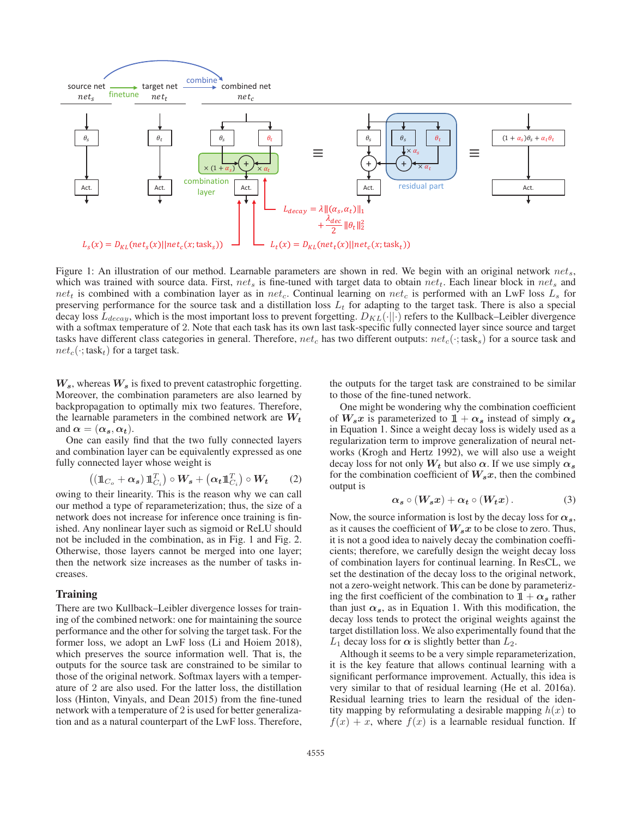

Figure 1: An illustration of our method. Learnable parameters are shown in red. We begin with an original network  $net_s$ , which was trained with source data. First, net<sub>s</sub> is fine-tuned with target data to obtain net<sub>t</sub>. Each linear block in net<sub>s</sub> and net<sub>t</sub> is combined with a combination layer as in net<sub>c</sub>. Continual learning on net<sub>c</sub> is performed with an LwF loss  $L<sub>s</sub>$  for preserving performance for the source task and a distillation loss  $L_t$  for adapting to the target task. There is also a special decay loss  $L_{decay}$ , which is the most important loss to prevent forgetting.  $D_{KL}(\cdot||\cdot)$  refers to the Kullback–Leibler divergence with a softmax temperature of 2. Note that each task has its own last task-specific fully connected layer since source and target tasks have different class categories in general. Therefore,  $net_c$  has two different outputs:  $net_c(\cdot; task_s)$  for a source task and  $net_c(\cdot; task_t)$  for a target task.

*Ws*, whereas *W<sup>s</sup>* is fixed to prevent catastrophic forgetting. Moreover, the combination parameters are also learned by backpropagation to optimally mix two features. Therefore, the learnable parameters in the combined network are *W<sup>t</sup>* and  $\alpha = (\alpha_s, \alpha_t)$ .

One can easily find that the two fully connected layers and combination layer can be equivalently expressed as one fully connected layer whose weight is

$$
((\mathbb{1}_{C_o} + \alpha_s) \mathbb{1}_{C_i}^T) \circ W_s + (\alpha_t \mathbb{1}_{C_i}^T) \circ W_t
$$
 (2)  
owing to their linearity. This is the reason why we can call

our method a type of reparameterization; thus, the size of a network does not increase for inference once training is finished. Any nonlinear layer such as sigmoid or ReLU should not be included in the combination, as in Fig. 1 and Fig. 2. Otherwise, those layers cannot be merged into one layer; then the network size increases as the number of tasks increases.

#### **Training**

There are two Kullback–Leibler divergence losses for training of the combined network: one for maintaining the source performance and the other for solving the target task. For the former loss, we adopt an LwF loss (Li and Hoiem 2018), which preserves the source information well. That is, the outputs for the source task are constrained to be similar to those of the original network. Softmax layers with a temperature of 2 are also used. For the latter loss, the distillation loss (Hinton, Vinyals, and Dean 2015) from the fine-tuned network with a temperature of 2 is used for better generalization and as a natural counterpart of the LwF loss. Therefore,

the outputs for the target task are constrained to be similar to those of the fine-tuned network.

One might be wondering why the combination coefficient of  $W_s x$  is parameterized to  $1 + \alpha_s$  instead of simply  $\alpha_s$ in Equation 1. Since a weight decay loss is widely used as a regularization term to improve generalization of neural networks (Krogh and Hertz 1992), we will also use a weight decay loss for not only  $W_t$  but also  $\alpha$ . If we use simply  $\alpha_s$ for the combination coefficient of  $W_s x$ , then the combined output is

$$
\alpha_s \circ (W_s x) + \alpha_t \circ (W_t x). \tag{3}
$$

Now, the source information is lost by the decay loss for  $\alpha_s$ , as it causes the coefficient of  $W_s x$  to be close to zero. Thus, it is not a good idea to naively decay the combination coefficients; therefore, we carefully design the weight decay loss of combination layers for continual learning. In ResCL, we set the destination of the decay loss to the original network, not a zero-weight network. This can be done by parameterizing the first coefficient of the combination to  $1 + \alpha_s$  rather than just  $\alpha_s$ , as in Equation 1. With this modification, the decay loss tends to protect the original weights against the target distillation loss. We also experimentally found that the  $L_1$  decay loss for  $\alpha$  is slightly better than  $L_2$ .

Although it seems to be a very simple reparameterization, it is the key feature that allows continual learning with a significant performance improvement. Actually, this idea is very similar to that of residual learning (He et al. 2016a). Residual learning tries to learn the residual of the identity mapping by reformulating a desirable mapping  $h(x)$  to  $f(x) + x$ , where  $f(x)$  is a learnable residual function. If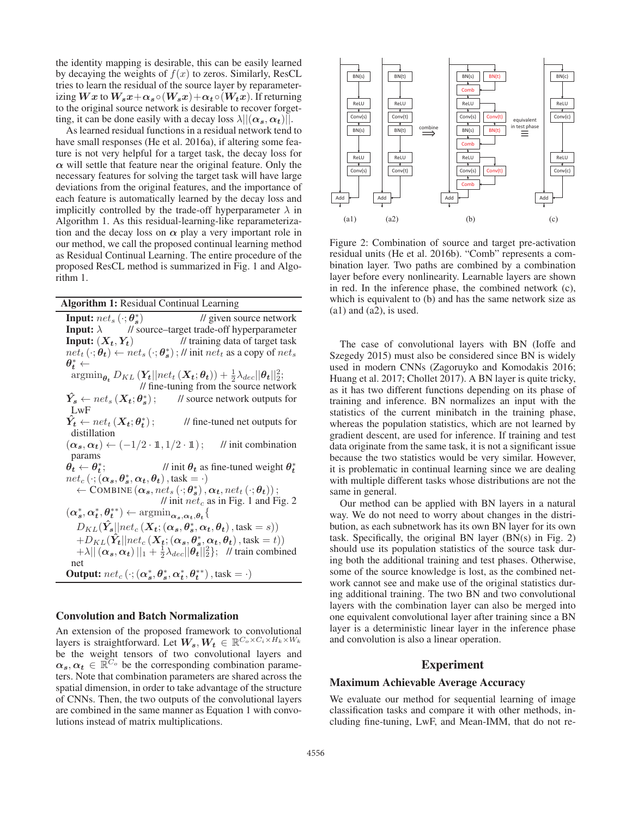the identity mapping is desirable, this can be easily learned by decaying the weights of  $f(x)$  to zeros. Similarly, ResCL tries to learn the residual of the source layer by reparameterizing  $Wx$  to  $W_sx + \alpha_s \circ (W_sx) + \alpha_t \circ (W_tx)$ . If returning to the original source network is desirable to recover forgetting, it can be done easily with a decay loss  $\lambda ||(\alpha_s, \alpha_t)||$ .

As learned residual functions in a residual network tend to have small responses (He et al. 2016a), if altering some feature is not very helpful for a target task, the decay loss for  $\alpha$  will settle that feature near the original feature. Only the necessary features for solving the target task will have large deviations from the original features, and the importance of each feature is automatically learned by the decay loss and implicitly controlled by the trade-off hyperparameter  $\lambda$  in Algorithm 1. As this residual-learning-like reparameterization and the decay loss on  $\alpha$  play a very important role in our method, we call the proposed continual learning method as Residual Continual Learning. The entire procedure of the proposed ResCL method is summarized in Fig. 1 and Algorithm 1.

Algorithm 1: Residual Continual Learning **Input:**  $net_s$  ( $\cdot$ ;  $\theta_s^*$ )<br>**Input:**  $\lambda$  // so **Input:**  $net_s$  ( $\cdot$ ;  $\theta_s^*$ ) // given source network<br> **Input:**  $\lambda$  // source–target trade-off hyperparameter **Input:**  $(X_t, Y_t)$  // training data of target task  $net_t(\cdot; \theta_t) \leftarrow net_t(\cdot; \theta^*) \cdot \text{/}$  / init net, as a copy of net.  $net_t\left(\cdot;\boldsymbol{\theta_t}\right) \leftarrow net_s\left(\cdot;\boldsymbol{\theta_s^*}\right)$  ; // init  $net_t$  as a copy of  $net_s$ <br> $\boldsymbol{\theta^*} \leftarrow$  $\theta^*_t \leftarrow$  $\mathcal{L}_{\text{argmin}_{\theta_t}} D_{KL}(\mathbf{Y}_t || net_t(\mathbf{X}_t; \theta_t)) + \frac{1}{2} \lambda_{dec} ||\theta_t||_2^2$ <br>  $\mathcal{L}_{\text{free-tuning from the source network}}$  $\mathcal{L}_t[\text{Det}(\mathbf{\Lambda}_t, \mathbf{v}_t)] + \frac{1}{2}\text{A}$ dec $||\mathbf{v}_t||_2$ ,<br>
// fine-tuning from the source network  $\hat{Y}_s \leftarrow net_s\left(\boldsymbol{X_t}; \boldsymbol{\theta}_s^*\right)$ <br>LwF *ll* source network outputs for LwF  $\hat{Y}_t \leftarrow net_t(X_t; \theta_t^*)$ ; // fine-tuned net outputs for distillation  $(\alpha_s, \alpha_t) \leftarrow (-1/2 \cdot 1, 1/2 \cdot 1)$ ; // init combination params  $\theta_t \leftarrow \theta_t^*$ ; *t*; // init  $\theta_t$  as fine-tuned weight  $\theta_t^*$ <br>  $(\alpha, \theta^* \alpha_t, \theta_t)$  task = ·)  $net_c (\cdot; (\alpha_s, \theta_s^*, \alpha_t, \theta_t),$  task = ·)  $\mathbf{z}_s^*, \alpha_t, \theta_t)$ , task = ·)<br>E ( $\alpha_s$ , net<sub>c</sub> (·· $\theta^*$ )  $\leftarrow$  COMBINE  $(\alpha_s, net_s(\cdot; \theta_s^*), \alpha_t, net_t(\cdot; \theta_t));$ <br> *l* init net, as in Fig. 1 and F // init  $net_c$  as in Fig. 1 and Fig. 2  $(\alpha_s^*, \alpha_t^*, \theta_t^{**}) \leftarrow \operatorname{argmin}_{\alpha_s, \alpha_t, \theta_t} \{$  $D_{KL}(\hat{Y}_s||net_c(X_t; (\alpha_s, \theta_s^*, \alpha_t, \theta_t), \text{task} = s))$  $+D_{KL}(\hat{Y}_t||net_c(X_t; (\alpha_s, \theta_s^*, \alpha_t, \theta_t), \text{task} = t))$ <br>+  $\lambda || (\alpha_s, \alpha_t)||_1 + \frac{1}{2} \lambda_{ds} ||\theta_s||_2^2$ . // train combin  $+ \lambda ||(\alpha_s, \alpha_t) ||_1 + \frac{1}{2}\lambda_{dec} ||\theta_t||_2^2$ ; // train combined net **Output:**  $net_c$  ( $\cdot$ ;  $(\alpha_s^*, \theta_s^*, \alpha_t^*, \theta_t^{**})$ , task =  $\cdot$ )

#### Convolution and Batch Normalization

An extension of the proposed framework to convolutional layers is straightforward. Let  $W_s, W_t \in \mathbb{R}^{C_o \times C_i \times H_k \times W_k}$ be the weight tensors of two convolutional layers and  $\alpha_s, \alpha_t \in \mathbb{R}^{C_o}$  be the corresponding combination parameters. Note that combination parameters are shared across the spatial dimension, in order to take advantage of the structure of CNNs. Then, the two outputs of the convolutional layers are combined in the same manner as Equation 1 with convolutions instead of matrix multiplications.



Figure 2: Combination of source and target pre-activation residual units (He et al. 2016b). "Comb" represents a combination layer. Two paths are combined by a combination layer before every nonlinearity. Learnable layers are shown in red. In the inference phase, the combined network (c), which is equivalent to (b) and has the same network size as  $(a1)$  and  $(a2)$ , is used.

The case of convolutional layers with BN (Ioffe and Szegedy 2015) must also be considered since BN is widely used in modern CNNs (Zagoruyko and Komodakis 2016; Huang et al. 2017; Chollet 2017). A BN layer is quite tricky, as it has two different functions depending on its phase of training and inference. BN normalizes an input with the statistics of the current minibatch in the training phase, whereas the population statistics, which are not learned by gradient descent, are used for inference. If training and test data originate from the same task, it is not a significant issue because the two statistics would be very similar. However, it is problematic in continual learning since we are dealing with multiple different tasks whose distributions are not the same in general.

Our method can be applied with BN layers in a natural way. We do not need to worry about changes in the distribution, as each subnetwork has its own BN layer for its own task. Specifically, the original BN layer  $(BN(s))$  in Fig. 2) should use its population statistics of the source task during both the additional training and test phases. Otherwise, some of the source knowledge is lost, as the combined network cannot see and make use of the original statistics during additional training. The two BN and two convolutional layers with the combination layer can also be merged into one equivalent convolutional layer after training since a BN layer is a deterministic linear layer in the inference phase and convolution is also a linear operation.

### Experiment

### Maximum Achievable Average Accuracy

We evaluate our method for sequential learning of image classification tasks and compare it with other methods, including fine-tuning, LwF, and Mean-IMM, that do not re-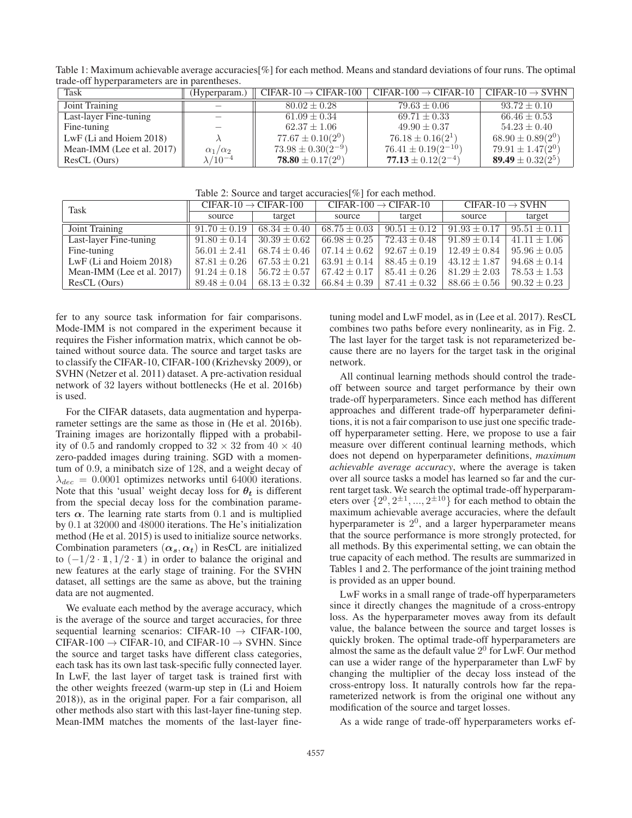Table 1: Maximum achievable average accuracies[%] for each method. Means and standard deviations of four runs. The optimal trade-off hyperparameters are in parentheses.

| Task                       | (Hyperparam.)       | $\parallel$ CIFAR-10 $\rightarrow$ CIFAR-100 $\parallel$ | $CIFAR-100 \rightarrow CIFAR-10$ | $CIFAR-10 \rightarrow SVHN$ |
|----------------------------|---------------------|----------------------------------------------------------|----------------------------------|-----------------------------|
| Joint Training             |                     | $80.02 \pm 0.28$                                         | $79.63 \pm 0.06$                 | $93.72 \pm 0.10$            |
| Last-layer Fine-tuning     |                     | $61.09 + 0.34$                                           | $69.71 + 0.33$                   | $66.46 + 0.53$              |
| Fine-tuning                |                     | $62.37 \pm 1.06$                                         | $49.90 \pm 0.37$                 | $54.23 \pm 0.40$            |
| $LwF$ (Li and Hoiem 2018)  |                     | $77.67 \pm 0.10(2^0)$                                    | $76.18 \pm 0.16(2^1)$            | $68.90 \pm 0.89(2^0)$       |
| Mean-IMM (Lee et al. 2017) | $\alpha_1/\alpha_2$ | $73.98 \pm 0.30(2^{-9})$                                 | $76.41 \pm 0.19(2^{-10})$        | $79.91 \pm 1.47(2^0)$       |
| ResCL (Ours)               | $\lambda/10^{-4}$   | $78.80 \pm 0.17(2^0)$                                    | $77.13 \pm 0.12(2^{-4})$         | 89.49 ± $0.32(2^5)$         |
|                            |                     |                                                          |                                  |                             |

Table 2: Source and target accuracies[%] for each method.

| Task                       | CIFAR-10 $\rightarrow$ CIFAR-100 |                  | CIFAR-100 $\rightarrow$ CIFAR-10 |                  | CIFAR-10 $\rightarrow$ SVHN |                  |
|----------------------------|----------------------------------|------------------|----------------------------------|------------------|-----------------------------|------------------|
|                            | source                           | target           | source                           | target           | source                      | target           |
| Joint Training             | $91.70 \pm 0.19$                 | $68.34 \pm 0.40$ | $68.75 + 0.03$                   | $90.51 + 0.12$   | $91.93 \pm 0.17$            | $95.51 \pm 0.11$ |
| Last-layer Fine-tuning     | $91.80 \pm 0.14$                 | $30.39 \pm 0.62$ | $66.98 + 0.25$                   | $72.43 + 0.48$   | $91.89 + 0.14$              | $41.11 + 1.06$   |
| Fine-tuning                | $56.01 \pm 2.41$                 | $68.74 + 0.46$   | $07.14 \pm 0.62$                 | $92.67 \pm 0.19$ | $12.49 + 0.84$              | $95.96 \pm 0.05$ |
| $LwF$ (Li and Hoiem 2018)  | $87.81 \pm 0.26$                 | $67.53 + 0.21$   | $63.91 + 0.14$                   | $88.45 \pm 0.19$ | $43.12 \pm 1.87$            | $94.68 \pm 0.14$ |
| Mean-IMM (Lee et al. 2017) | $91.24 \pm 0.18$                 | $56.72 \pm 0.57$ | $67.42 \pm 0.17$                 | $85.41 \pm 0.26$ | $81.29 \pm 2.03$            | $78.53 \pm 1.53$ |
| ResCL (Ours)               | $89.48 \pm 0.04$                 | $68.13 \pm 0.32$ | $66.84 \pm 0.39$                 | $87.41 \pm 0.32$ | $88.66 \pm 0.56$            | $90.32 \pm 0.23$ |
|                            |                                  |                  |                                  |                  |                             |                  |

fer to any source task information for fair comparisons. Mode-IMM is not compared in the experiment because it requires the Fisher information matrix, which cannot be obtained without source data. The source and target tasks are to classify the CIFAR-10, CIFAR-100 (Krizhevsky 2009), or SVHN (Netzer et al. 2011) dataset. A pre-activation residual network of 32 layers without bottlenecks (He et al. 2016b) is used.

For the CIFAR datasets, data augmentation and hyperparameter settings are the same as those in (He et al. 2016b). Training images are horizontally flipped with a probability of 0.5 and randomly cropped to  $32 \times 32$  from  $40 \times 40$ zero-padded images during training. SGD with a momentum of 0.9, a minibatch size of 128, and a weight decay of  $\lambda_{dec} = 0.0001$  optimizes networks until 64000 iterations. Note that this 'usual' weight decay loss for  $\theta_t$  is different from the special decay loss for the combination parameters  $\alpha$ . The learning rate starts from 0.1 and is multiplied by 0.1 at 32000 and 48000 iterations. The He's initialization method (He et al. 2015) is used to initialize source networks. Combination parameters  $(\alpha_s, \alpha_t)$  in ResCL are initialized to  $(-1/2 \cdot 1, 1/2 \cdot 1)$  in order to balance the original and new features at the early stage of training. For the SVHN dataset, all settings are the same as above, but the training data are not augmented.

We evaluate each method by the average accuracy, which is the average of the source and target accuracies, for three sequential learning scenarios: CIFAR-10  $\rightarrow$  CIFAR-100, CIFAR-100  $\rightarrow$  CIFAR-10, and CIFAR-10  $\rightarrow$  SVHN. Since the source and target tasks have different class categories, each task has its own last task-specific fully connected layer. In LwF, the last layer of target task is trained first with the other weights freezed (warm-up step in (Li and Hoiem 2018)), as in the original paper. For a fair comparison, all other methods also start with this last-layer fine-tuning step. Mean-IMM matches the moments of the last-layer finetuning model and LwF model, as in (Lee et al. 2017). ResCL combines two paths before every nonlinearity, as in Fig. 2. The last layer for the target task is not reparameterized because there are no layers for the target task in the original network.

All continual learning methods should control the tradeoff between source and target performance by their own trade-off hyperparameters. Since each method has different approaches and different trade-off hyperparameter definitions, it is not a fair comparison to use just one specific tradeoff hyperparameter setting. Here, we propose to use a fair measure over different continual learning methods, which does not depend on hyperparameter definitions, *maximum achievable average accuracy*, where the average is taken over all source tasks a model has learned so far and the current target task. We search the optimal trade-off hyperparameters over  $\{2^0, 2^{\pm 1}, ..., 2^{\pm 10}\}$  for each method to obtain the maximum achievable average accuracies, where the default hyperparameter is  $2^0$ , and a larger hyperparameter means that the source performance is more strongly protected, for all methods. By this experimental setting, we can obtain the true capacity of each method. The results are summarized in Tables 1 and 2. The performance of the joint training method is provided as an upper bound.

LwF works in a small range of trade-off hyperparameters since it directly changes the magnitude of a cross-entropy loss. As the hyperparameter moves away from its default value, the balance between the source and target losses is quickly broken. The optimal trade-off hyperparameters are almost the same as the default value  $2<sup>0</sup>$  for LwF. Our method can use a wider range of the hyperparameter than LwF by changing the multiplier of the decay loss instead of the cross-entropy loss. It naturally controls how far the reparameterized network is from the original one without any modification of the source and target losses.

As a wide range of trade-off hyperparameters works ef-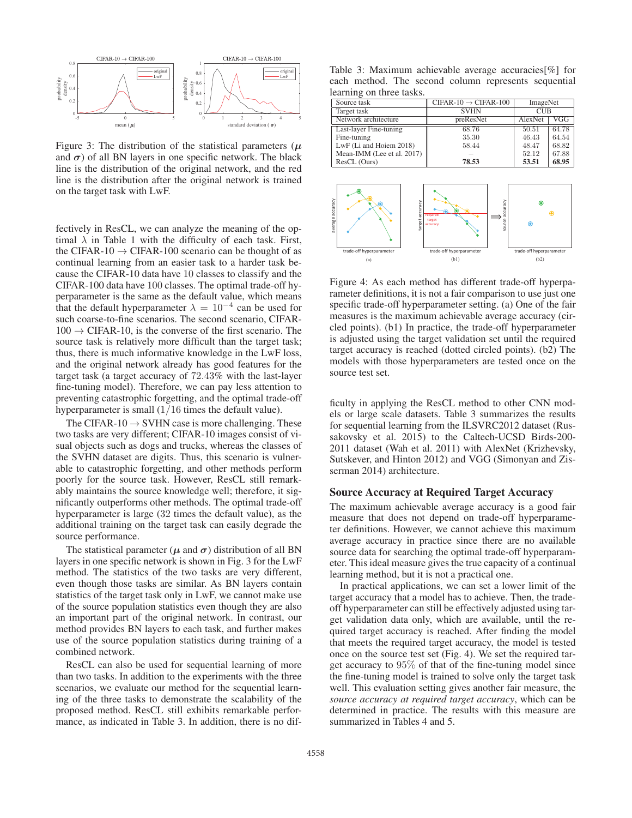

Figure 3: The distribution of the statistical parameters (*μ* and  $\sigma$ ) of all BN layers in one specific network. The black line is the distribution of the original network, and the red line is the distribution after the original network is trained on the target task with LwF.

fectively in ResCL, we can analyze the meaning of the optimal  $\lambda$  in Table 1 with the difficulty of each task. First, the CIFAR-10  $\rightarrow$  CIFAR-100 scenario can be thought of as continual learning from an easier task to a harder task because the CIFAR-10 data have 10 classes to classify and the CIFAR-100 data have 100 classes. The optimal trade-off hyperparameter is the same as the default value, which means that the default hyperparameter  $\lambda = 10^{-4}$  can be used for such coarse-to-fine scenarios. The second scenario, CIFAR- $100 \rightarrow$  CIFAR-10, is the converse of the first scenario. The source task is relatively more difficult than the target task; thus, there is much informative knowledge in the LwF loss, and the original network already has good features for the target task (a target accuracy of 72.43% with the last-layer fine-tuning model). Therefore, we can pay less attention to preventing catastrophic forgetting, and the optimal trade-off hyperparameter is small (1/16 times the default value).

The CIFAR-10  $\rightarrow$  SVHN case is more challenging. These two tasks are very different; CIFAR-10 images consist of visual objects such as dogs and trucks, whereas the classes of the SVHN dataset are digits. Thus, this scenario is vulnerable to catastrophic forgetting, and other methods perform poorly for the source task. However, ResCL still remarkably maintains the source knowledge well; therefore, it significantly outperforms other methods. The optimal trade-off hyperparameter is large (32 times the default value), as the additional training on the target task can easily degrade the source performance.

The statistical parameter ( $\mu$  and  $\sigma$ ) distribution of all BN layers in one specific network is shown in Fig. 3 for the LwF method. The statistics of the two tasks are very different, even though those tasks are similar. As BN layers contain statistics of the target task only in LwF, we cannot make use of the source population statistics even though they are also an important part of the original network. In contrast, our method provides BN layers to each task, and further makes use of the source population statistics during training of a combined network.

ResCL can also be used for sequential learning of more than two tasks. In addition to the experiments with the three scenarios, we evaluate our method for the sequential learning of the three tasks to demonstrate the scalability of the proposed method. ResCL still exhibits remarkable performance, as indicated in Table 3. In addition, there is no dif-

Table 3: Maximum achievable average accuracies[%] for each method. The second column represents sequential learning on three tasks.

| Source task                | CIFAR-10 $\rightarrow$ CIFAR-100 | ImageNet |       |
|----------------------------|----------------------------------|----------|-------|
| Target task                | <b>SVHN</b>                      | CUB      |       |
| Network architecture       | preResNet                        | AlexNet  | VGG   |
| Last-layer Fine-tuning     | 68.76                            | 50.51    | 64.78 |
| Fine-tuning                | 35.30                            | 46.43    | 64.54 |
| LwF (Li and Hoiem 2018)    | 58.44                            | 48.47    | 68.82 |
| Mean-IMM (Lee et al. 2017) |                                  | 52.12    | 67.88 |
| ResCL (Ours)               | 78.53                            | 53.51    | 68.95 |



Figure 4: As each method has different trade-off hyperparameter definitions, it is not a fair comparison to use just one specific trade-off hyperparameter setting. (a) One of the fair measures is the maximum achievable average accuracy (circled points). (b1) In practice, the trade-off hyperparameter is adjusted using the target validation set until the required target accuracy is reached (dotted circled points). (b2) The models with those hyperparameters are tested once on the source test set.

ficulty in applying the ResCL method to other CNN models or large scale datasets. Table 3 summarizes the results for sequential learning from the ILSVRC2012 dataset (Russakovsky et al. 2015) to the Caltech-UCSD Birds-200- 2011 dataset (Wah et al. 2011) with AlexNet (Krizhevsky, Sutskever, and Hinton 2012) and VGG (Simonyan and Zisserman 2014) architecture.

#### Source Accuracy at Required Target Accuracy

The maximum achievable average accuracy is a good fair measure that does not depend on trade-off hyperparameter definitions. However, we cannot achieve this maximum average accuracy in practice since there are no available source data for searching the optimal trade-off hyperparameter. This ideal measure gives the true capacity of a continual learning method, but it is not a practical one.

In practical applications, we can set a lower limit of the target accuracy that a model has to achieve. Then, the tradeoff hyperparameter can still be effectively adjusted using target validation data only, which are available, until the required target accuracy is reached. After finding the model that meets the required target accuracy, the model is tested once on the source test set (Fig. 4). We set the required target accuracy to 95% of that of the fine-tuning model since the fine-tuning model is trained to solve only the target task well. This evaluation setting gives another fair measure, the *source accuracy at required target accuracy*, which can be determined in practice. The results with this measure are summarized in Tables 4 and 5.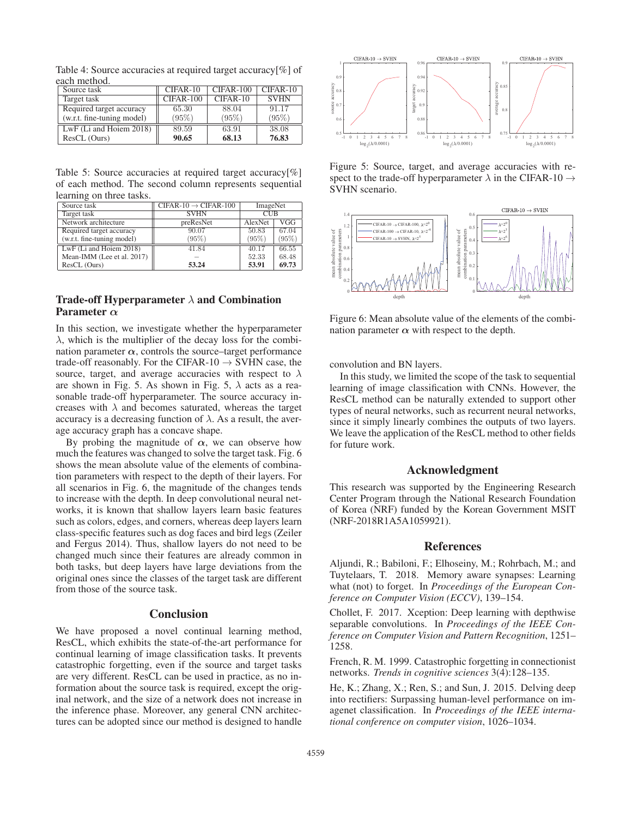Table 4: Source accuracies at required target accuracy[%] of each method.

| Source task                         | CIFAR-10    | CIFAR-100  | CIFAR-10    |  |
|-------------------------------------|-------------|------------|-------------|--|
| Target task                         | $CIFAR-100$ | $CIFAR-10$ | <b>SVHN</b> |  |
| Required target accuracy            | 65.30       | 88.04      | 91.17       |  |
| (w.r.t. fine-tuning model)          | (95%)       | (95%)      | (95%)       |  |
| LwF (Li and Hoiem 2018) $\parallel$ | 89.59       | 63.91      | 38.08       |  |
| ResCL (Ours)                        | 90.65       | 68.13      | 76.83       |  |

Table 5: Source accuracies at required target accuracy[%] of each method. The second column represents sequential learning on three tasks.

| Source task                | $CIFAR-10 \rightarrow CIFAR-100$ | ImageNet |                         |
|----------------------------|----------------------------------|----------|-------------------------|
| Target task                | <b>SVHN</b>                      | CUB      |                         |
| Network architecture       | preResNet                        | AlexNet  | $\overline{\text{VGG}}$ |
| Required target accuracy   | 90.07                            | 50.83    | 67.04                   |
| (w.r.t. fine-tuning model) | (95%)                            | (95%)    | (95%)                   |
| LwF (Li and Hoiem 2018)    | 41.84                            | 40.17    | 66.55                   |
| Mean-IMM (Lee et al. 2017) |                                  | 52.33    | 68.48                   |
| ResCL (Ours)               | 53.24                            | 53.91    | 69.73                   |

## Trade-off Hyperparameter  $\lambda$  and Combination Parameter *α*

In this section, we investigate whether the hyperparameter  $\lambda$ , which is the multiplier of the decay loss for the combination parameter  $\alpha$ , controls the source–target performance trade-off reasonably. For the CIFAR-10  $\rightarrow$  SVHN case, the source, target, and average accuracies with respect to  $\lambda$ are shown in Fig. 5. As shown in Fig. 5,  $\lambda$  acts as a reasonable trade-off hyperparameter. The source accuracy increases with  $\lambda$  and becomes saturated, whereas the target accuracy is a decreasing function of  $\lambda$ . As a result, the average accuracy graph has a concave shape.

By probing the magnitude of  $\alpha$ , we can observe how much the features was changed to solve the target task. Fig. 6 shows the mean absolute value of the elements of combination parameters with respect to the depth of their layers. For all scenarios in Fig. 6, the magnitude of the changes tends to increase with the depth. In deep convolutional neural networks, it is known that shallow layers learn basic features such as colors, edges, and corners, whereas deep layers learn class-specific features such as dog faces and bird legs (Zeiler and Fergus 2014). Thus, shallow layers do not need to be changed much since their features are already common in both tasks, but deep layers have large deviations from the original ones since the classes of the target task are different from those of the source task.

## Conclusion

We have proposed a novel continual learning method, ResCL, which exhibits the state-of-the-art performance for continual learning of image classification tasks. It prevents catastrophic forgetting, even if the source and target tasks are very different. ResCL can be used in practice, as no information about the source task is required, except the original network, and the size of a network does not increase in the inference phase. Moreover, any general CNN architectures can be adopted since our method is designed to handle



Figure 5: Source, target, and average accuracies with respect to the trade-off hyperparameter  $\lambda$  in the CIFAR-10  $\rightarrow$ SVHN scenario.



Figure 6: Mean absolute value of the elements of the combination parameter  $\alpha$  with respect to the depth.

convolution and BN layers.

In this study, we limited the scope of the task to sequential learning of image classification with CNNs. However, the ResCL method can be naturally extended to support other types of neural networks, such as recurrent neural networks, since it simply linearly combines the outputs of two layers. We leave the application of the ResCL method to other fields for future work.

#### Acknowledgment

This research was supported by the Engineering Research Center Program through the National Research Foundation of Korea (NRF) funded by the Korean Government MSIT (NRF-2018R1A5A1059921).

#### References

Aljundi, R.; Babiloni, F.; Elhoseiny, M.; Rohrbach, M.; and Tuytelaars, T. 2018. Memory aware synapses: Learning what (not) to forget. In *Proceedings of the European Conference on Computer Vision (ECCV)*, 139–154.

Chollet, F. 2017. Xception: Deep learning with depthwise separable convolutions. In *Proceedings of the IEEE Conference on Computer Vision and Pattern Recognition*, 1251– 1258.

French, R. M. 1999. Catastrophic forgetting in connectionist networks. *Trends in cognitive sciences* 3(4):128–135.

He, K.; Zhang, X.; Ren, S.; and Sun, J. 2015. Delving deep into rectifiers: Surpassing human-level performance on imagenet classification. In *Proceedings of the IEEE international conference on computer vision*, 1026–1034.